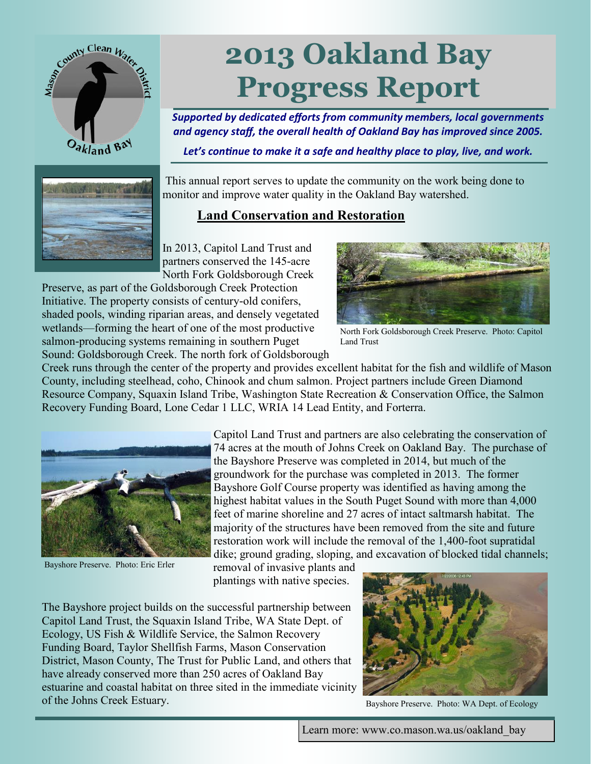

# **2013 Oakland Bay Progress Report**

*Supported by dedicated efforts from community members, local governments and agency staff, the overall health of Oakland Bay has improved since 2005.* 

*Let's continue to make it a safe and healthy place to play, live, and work.*



This annual report serves to update the community on the work being done to monitor and improve water quality in the Oakland Bay watershed.

### **Land Conservation and Restoration**

In 2013, Capitol Land Trust and partners conserved the 145-acre North Fork Goldsborough Creek

Preserve, as part of the Goldsborough Creek Protection Initiative. The property consists of century-old conifers, shaded pools, winding riparian areas, and densely vegetated wetlands—forming the heart of one of the most productive salmon-producing systems remaining in southern Puget Sound: Goldsborough Creek. The north fork of Goldsborough



North Fork Goldsborough Creek Preserve. Photo: Capitol Land Trust

Creek runs through the center of the property and provides excellent habitat for the fish and wildlife of Mason County, including steelhead, coho, Chinook and chum salmon. Project partners include Green Diamond Resource Company, Squaxin Island Tribe, Washington State Recreation & Conservation Office, the Salmon Recovery Funding Board, Lone Cedar 1 LLC, WRIA 14 Lead Entity, and Forterra.



Bayshore Preserve. Photo: Eric Erler

Capitol Land Trust and partners are also celebrating the conservation of 74 acres at the mouth of Johns Creek on Oakland Bay. The purchase of the Bayshore Preserve was completed in 2014, but much of the groundwork for the purchase was completed in 2013. The former Bayshore Golf Course property was identified as having among the highest habitat values in the South Puget Sound with more than 4,000 feet of marine shoreline and 27 acres of intact saltmarsh habitat. The majority of the structures have been removed from the site and future restoration work will include the removal of the 1,400-foot supratidal dike; ground grading, sloping, and excavation of blocked tidal channels;

removal of invasive plants and plantings with native species.

The Bayshore project builds on the successful partnership between Capitol Land Trust, the Squaxin Island Tribe, WA State Dept. of Ecology, US Fish & Wildlife Service, the Salmon Recovery Funding Board, Taylor Shellfish Farms, Mason Conservation District, Mason County, The Trust for Public Land, and others that have already conserved more than 250 acres of Oakland Bay estuarine and coastal habitat on three sited in the immediate vicinity of the Johns Creek Estuary.



Bayshore Preserve. Photo: WA Dept. of Ecology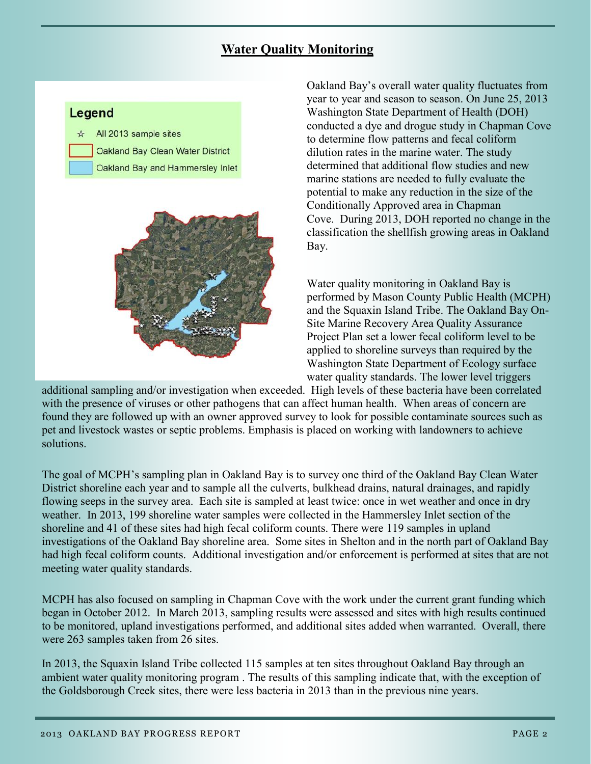#### **Water Quality Monitoring**

#### Legend

 $\angle$  All 2013 sample sites **Oakland Bay Clean Water District** Oakland Bay and Hammersley Inlet



Oakland Bay's overall water quality fluctuates from year to year and season to season. On June 25, 2013 Washington State Department of Health (DOH) conducted a dye and drogue study in Chapman Cove to determine flow patterns and fecal coliform dilution rates in the marine water. The study determined that additional flow studies and new marine stations are needed to fully evaluate the potential to make any reduction in the size of the Conditionally Approved area in Chapman Cove. During 2013, DOH reported no change in the classification the shellfish growing areas in Oakland Bay.

Water quality monitoring in Oakland Bay is performed by Mason County Public Health (MCPH) and the Squaxin Island Tribe. The Oakland Bay On-Site Marine Recovery Area Quality Assurance Project Plan set a lower fecal coliform level to be applied to shoreline surveys than required by the Washington State Department of Ecology surface water quality standards. The lower level triggers

additional sampling and/or investigation when exceeded. High levels of these bacteria have been correlated with the presence of viruses or other pathogens that can affect human health. When areas of concern are found they are followed up with an owner approved survey to look for possible contaminate sources such as pet and livestock wastes or septic problems. Emphasis is placed on working with landowners to achieve solutions.

The goal of MCPH's sampling plan in Oakland Bay is to survey one third of the Oakland Bay Clean Water District shoreline each year and to sample all the culverts, bulkhead drains, natural drainages, and rapidly flowing seeps in the survey area. Each site is sampled at least twice: once in wet weather and once in dry weather. In 2013, 199 shoreline water samples were collected in the Hammersley Inlet section of the shoreline and 41 of these sites had high fecal coliform counts. There were 119 samples in upland investigations of the Oakland Bay shoreline area. Some sites in Shelton and in the north part of Oakland Bay had high fecal coliform counts. Additional investigation and/or enforcement is performed at sites that are not meeting water quality standards.

MCPH has also focused on sampling in Chapman Cove with the work under the current grant funding which began in October 2012. In March 2013, sampling results were assessed and sites with high results continued to be monitored, upland investigations performed, and additional sites added when warranted. Overall, there were 263 samples taken from 26 sites.

In 2013, the Squaxin Island Tribe collected 115 samples at ten sites throughout Oakland Bay through an ambient water quality monitoring program . The results of this sampling indicate that, with the exception of the Goldsborough Creek sites, there were less bacteria in 2013 than in the previous nine years.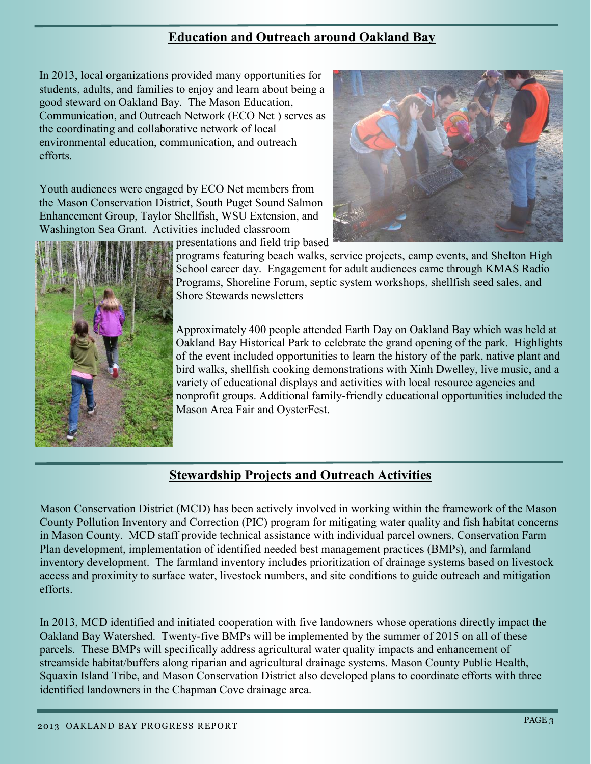#### **Education and Outreach around Oakland Bay**

In 2013, local organizations provided many opportunities for students, adults, and families to enjoy and learn about being a good steward on Oakland Bay. The Mason Education, Communication, and Outreach Network (ECO Net ) serves as the coordinating and collaborative network of local environmental education, communication, and outreach efforts.

Youth audiences were engaged by ECO Net members from the Mason Conservation District, South Puget Sound Salmon Enhancement Group, Taylor Shellfish, WSU Extension, and Washington Sea Grant. Activities included classroom presentations and field trip based





programs featuring beach walks, service projects, camp events, and Shelton High School career day. Engagement for adult audiences came through KMAS Radio Programs, Shoreline Forum, septic system workshops, shellfish seed sales, and Shore Stewards newsletters

Approximately 400 people attended Earth Day on Oakland Bay which was held at Oakland Bay Historical Park to celebrate the grand opening of the park. Highlights of the event included opportunities to learn the history of the park, native plant and bird walks, shellfish cooking demonstrations with Xinh Dwelley, live music, and a variety of educational displays and activities with local resource agencies and nonprofit groups. Additional family-friendly educational opportunities included the Mason Area Fair and OysterFest.

## **Stewardship Projects and Outreach Activities**

Mason Conservation District (MCD) has been actively involved in working within the framework of the Mason County Pollution Inventory and Correction (PIC) program for mitigating water quality and fish habitat concerns in Mason County. MCD staff provide technical assistance with individual parcel owners, Conservation Farm Plan development, implementation of identified needed best management practices (BMPs), and farmland inventory development. The farmland inventory includes prioritization of drainage systems based on livestock access and proximity to surface water, livestock numbers, and site conditions to guide outreach and mitigation efforts.

In 2013, MCD identified and initiated cooperation with five landowners whose operations directly impact the Oakland Bay Watershed. Twenty-five BMPs will be implemented by the summer of 2015 on all of these parcels. These BMPs will specifically address agricultural water quality impacts and enhancement of streamside habitat/buffers along riparian and agricultural drainage systems. Mason County Public Health, Squaxin Island Tribe, and Mason Conservation District also developed plans to coordinate efforts with three identified landowners in the Chapman Cove drainage area.